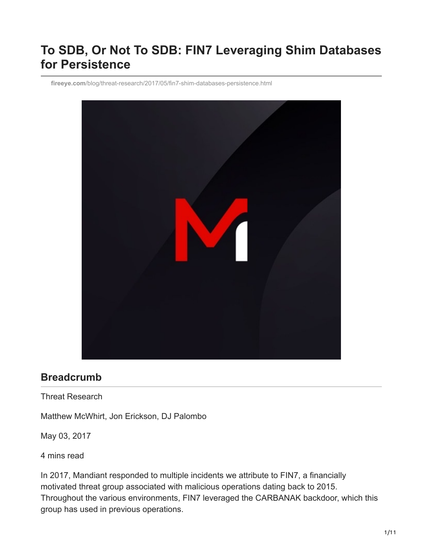# **To SDB, Or Not To SDB: FIN7 Leveraging Shim Databases for Persistence**

**fireeye.com**[/blog/threat-research/2017/05/fin7-shim-databases-persistence.html](https://www.fireeye.com/blog/threat-research/2017/05/fin7-shim-databases-persistence.html)



## **Breadcrumb**

Threat Research

Matthew McWhirt, Jon Erickson, DJ Palombo

May 03, 2017

4 mins read

In 2017, Mandiant responded to multiple incidents we attribute to FIN7, a financially motivated threat group associated with malicious operations dating back to 2015. Throughout the various environments, FIN7 leveraged the CARBANAK backdoor, which this group has used in previous operations.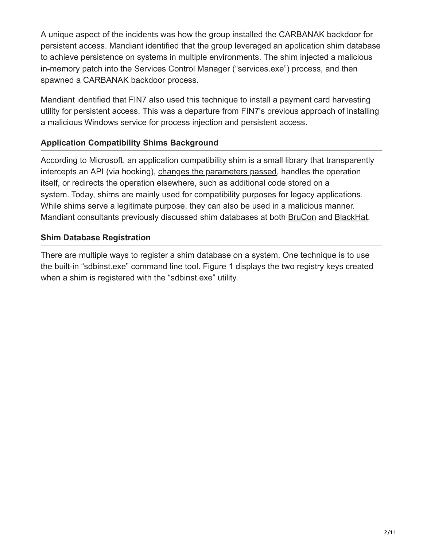A unique aspect of the incidents was how the group installed the CARBANAK backdoor for persistent access. Mandiant identified that the group leveraged an application shim database to achieve persistence on systems in multiple environments. The shim injected a malicious in-memory patch into the Services Control Manager ("services.exe") process, and then spawned a CARBANAK backdoor process.

Mandiant identified that FIN7 also used this technique to install a payment card harvesting utility for persistent access. This was a departure from FIN7's previous approach of installing a malicious Windows service for process injection and persistent access.

#### **Application Compatibility Shims Background**

According to Microsoft, an [application compatibility shim](https://technet.microsoft.com/en-us/library/dd837644(v=ws.10).aspx) is a small library that transparently intercepts an API (via hooking), [changes the parameters passed](https://blogs.technet.microsoft.com/askperf/2011/06/17/demystifying-shims-or-using-the-app-compat-toolkit-to-make-your-old-stuff-work-with-your-new-stuff/), handles the operation itself, or redirects the operation elsewhere, such as additional code stored on a system. Today, shims are mainly used for compatibility purposes for legacy applications. While shims serve a legitimate purpose, they can also be used in a malicious manner. Mandiant consultants previously discussed shim databases at both [BruCon](http://files.brucon.org/2015/Tomczak_and_Ballenthin_Shims_for_the_Win.pdf) and [BlackHat](https://www.blackhat.com/docs/asia-14/materials/Erickson/Asia-14-Erickson-Persist-It-Using-And-Abusing-Microsofts-Fix-It-Patches.pdf).

#### **Shim Database Registration**

There are multiple ways to register a shim database on a system. One technique is to use the built-in "[sdbinst.exe](https://technet.microsoft.com/en-us/library/cc749169(v=ws.10).aspx)" command line tool. Figure 1 displays the two registry keys created when a shim is registered with the "sdbinst.exe" utility.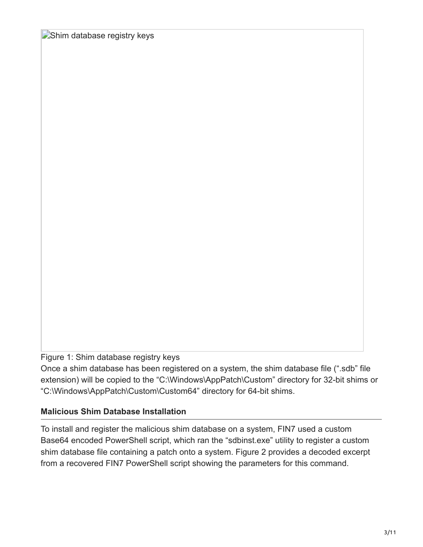Shim database registry keys

Figure 1: Shim database registry keys

Once a shim database has been registered on a system, the shim database file (".sdb" file extension) will be copied to the "C:\Windows\AppPatch\Custom" directory for 32-bit shims or "C:\Windows\AppPatch\Custom\Custom64" directory for 64-bit shims.

## **Malicious Shim Database Installation**

To install and register the malicious shim database on a system, FIN7 used a custom Base64 encoded PowerShell script, which ran the "sdbinst.exe" utility to register a custom shim database file containing a patch onto a system. Figure 2 provides a decoded excerpt from a recovered FIN7 PowerShell script showing the parameters for this command.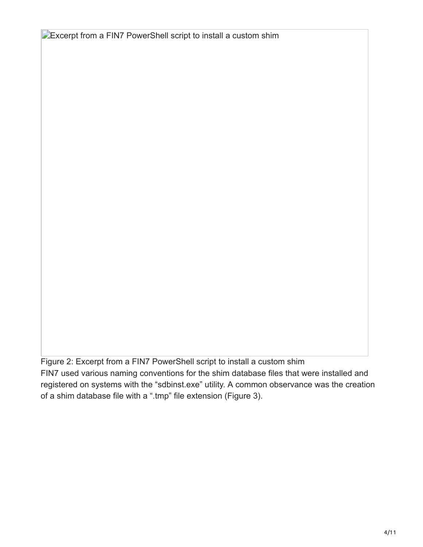**Excerpt from a FIN7 PowerShell script to install a custom shim** 

Figure 2: Excerpt from a FIN7 PowerShell script to install a custom shim FIN7 used various naming conventions for the shim database files that were installed and registered on systems with the "sdbinst.exe" utility. A common observance was the creation of a shim database file with a ".tmp" file extension (Figure 3).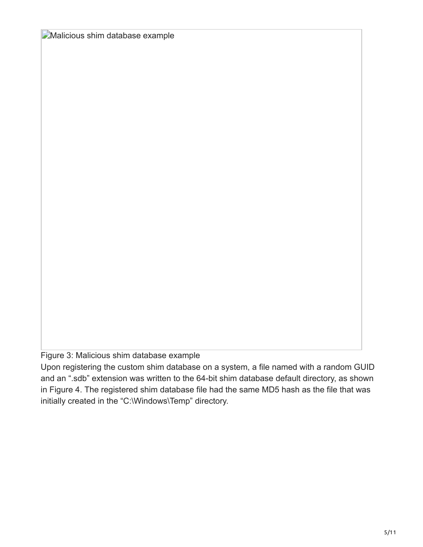**Malicious shim database example** 

Figure 3: Malicious shim database example

Upon registering the custom shim database on a system, a file named with a random GUID and an ".sdb" extension was written to the 64-bit shim database default directory, as shown in Figure 4. The registered shim database file had the same MD5 hash as the file that was initially created in the "C:\Windows\Temp" directory.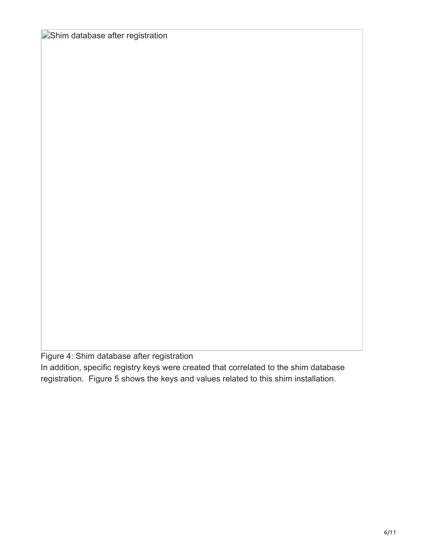**Shim database after registration** 

Figure 4: Shim database after registration

In addition, specific registry keys were created that correlated to the shim database registration. Figure 5 shows the keys and values related to this shim installation.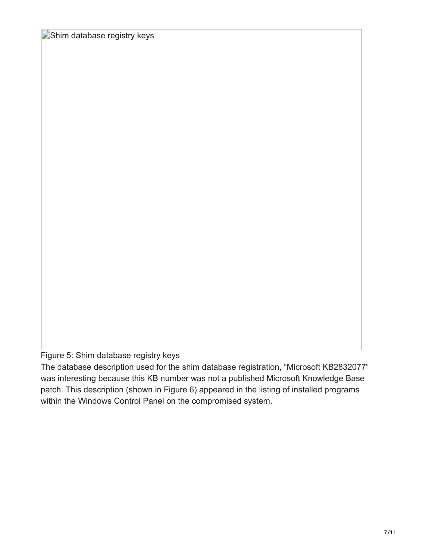**Shim database registry keys** 

Figure 5: Shim database registry keys

The database description used for the shim database registration, "Microsoft KB2832077" was interesting because this KB number was not a published Microsoft Knowledge Base patch. This description (shown in Figure 6) appeared in the listing of installed programs within the Windows Control Panel on the compromised system.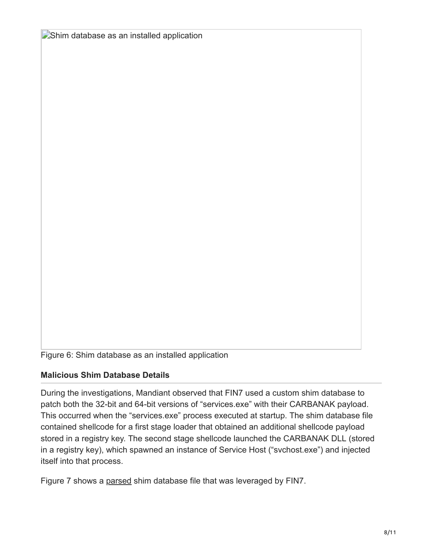**Shim database as an installed application** 

Figure 6: Shim database as an installed application

#### **Malicious Shim Database Details**

During the investigations, Mandiant observed that FIN7 used a custom shim database to patch both the 32-bit and 64-bit versions of "services.exe" with their CARBANAK payload. This occurred when the "services.exe" process executed at startup. The shim database file contained shellcode for a first stage loader that obtained an additional shellcode payload stored in a registry key. The second stage shellcode launched the CARBANAK DLL (stored in a registry key), which spawned an instance of Service Host ("svchost.exe") and injected itself into that process.

Figure 7 shows a [parsed](https://github.com/williballenthin/python-sdb) shim database file that was leveraged by FIN7.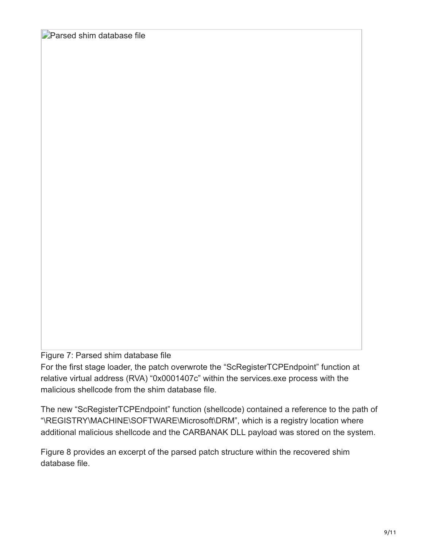**Parsed shim database file** 

Figure 7: Parsed shim database file

For the first stage loader, the patch overwrote the "ScRegisterTCPEndpoint" function at relative virtual address (RVA) "0x0001407c" within the services.exe process with the malicious shellcode from the shim database file.

The new "ScRegisterTCPEndpoint" function (shellcode) contained a reference to the path of "\REGISTRY\MACHINE\SOFTWARE\Microsoft\DRM", which is a registry location where additional malicious shellcode and the CARBANAK DLL payload was stored on the system.

Figure 8 provides an excerpt of the parsed patch structure within the recovered shim database file.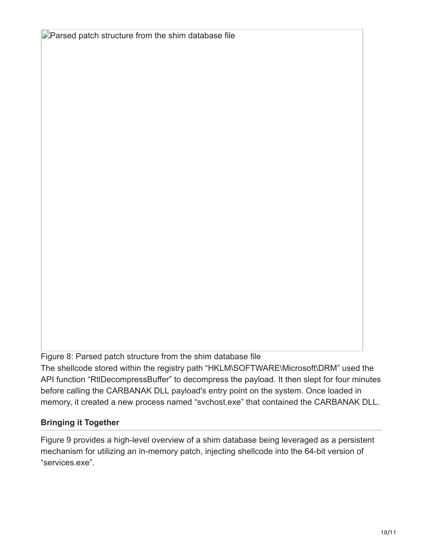**Parsed patch structure from the shim database file** 

Figure 8: Parsed patch structure from the shim database file

The shellcode stored within the registry path "HKLM\SOFTWARE\Microsoft\DRM" used the API function "RtIDecompressBuffer" to decompress the payload. It then slept for four minutes before calling the CARBANAK DLL payload's entry point on the system. Once loaded in memory, it created a new process named "svchost.exe" that contained the CARBANAK DLL.

## **Bringing it Together**

Figure 9 provides a high-level overview of a shim database being leveraged as a persistent mechanism for utilizing an in-memory patch, injecting shellcode into the 64-bit version of "services.exe".